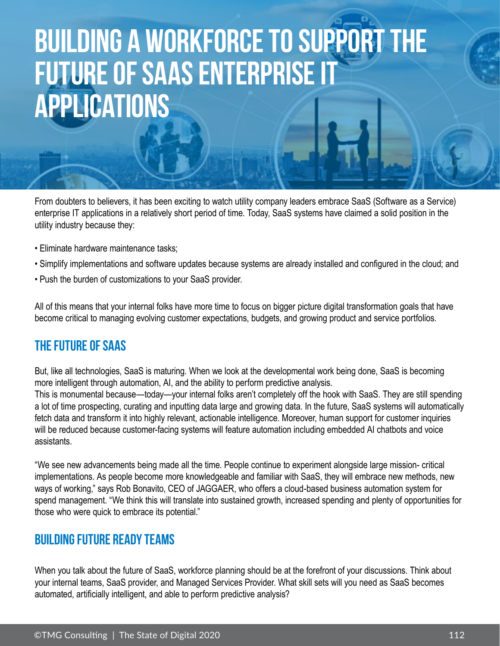# **Building a Workforce to Support the Future of SaaS Enterprise IT Applications**

From doubters to believers, it has been exciting to watch utility company leaders embrace SaaS (Software as a Service) enterprise IT applications in a relatively short period of time. Today, SaaS systems have claimed a solid position in the utility industry because they:

- Eliminate hardware maintenance tasks;
- Simplify implementations and software updates because systems are already installed and configured in the cloud; and
- Push the burden of customizations to your SaaS provider.

All of this means that your internal folks have more time to focus on bigger picture digital transformation goals that have become critical to managing evolving customer expectations, budgets, and growing product and service portfolios.

## **The Future of SaaS**

But, like all technologies, SaaS is maturing. When we look at the developmental work being done, SaaS is becoming more intelligent through automation, AI, and the ability to perform predictive analysis.

This is monumental because—today—your internal folks aren't completely off the hook with SaaS. They are still spending a lot of time prospecting, curating and inputting data large and growing data. In the future, SaaS systems will automatically fetch data and transform it into highly relevant, actionable intelligence. Moreover, human support for customer inquiries will be reduced because customer-facing systems will feature automation including embedded AI chatbots and voice assistants.

"We see new advancements being made all the time. People continue to experiment alongside large mission- critical implementations. As people become more knowledgeable and familiar with SaaS, they will embrace new methods, new ways of working," says Rob Bonavito, CEO of JAGGAER, who offers a cloud-based business automation system for spend management. "We think this will translate into sustained growth, increased spending and plenty of opportunities for those who were quick to embrace its potential."

### **Building Future Ready Teams**

When you talk about the future of SaaS, workforce planning should be at the forefront of your discussions. Think about your internal teams, SaaS provider, and Managed Services Provider. What skill sets will you need as SaaS becomes automated, artificially intelligent, and able to perform predictive analysis?